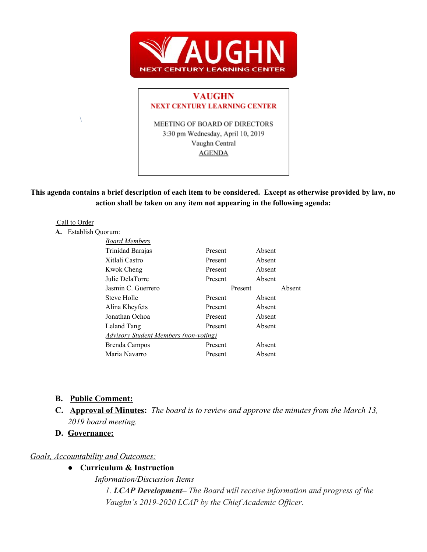

## **VAUGHN NEXT CENTURY LEARNING CENTER**

MEETING OF BOARD OF DIRECTORS 3:30 pm Wednesday, April 10, 2019 Vaughn Central **AGENDA** 

This agenda contains a brief description of each item to be considered. Except as otherwise provided by law, no **action shall be taken on any item not appearing in the following agenda:**

#### Call to Order

 $\setminus$ 

#### **A.** Establish Quorum:

| <b>Board Members</b>                         |         |        |        |
|----------------------------------------------|---------|--------|--------|
| Trinidad Barajas                             | Present | Absent |        |
| Xitlali Castro                               | Present | Absent |        |
| Kwok Cheng                                   | Present | Absent |        |
| Julie DelaTorre                              | Present | Absent |        |
| Jasmin C. Guerrero                           | Present |        | Absent |
| Steve Holle                                  | Present | Absent |        |
| Alina Kheyfets                               | Present | Absent |        |
| Jonathan Ochoa                               | Present | Absent |        |
| Leland Tang                                  | Present | Absent |        |
| <b>Advisory Student Members (non-voting)</b> |         |        |        |
| Brenda Campos                                | Present | Absent |        |
| Maria Navarro                                | Present | Absent |        |

### **B. Public Comment:**

- **C. Approval of Minutes:** *The board is to review and approve the minutes from the March 13, 2019 board meeting.*
- **D. Governance:**

## *Goals, Accountability and Outcomes:*

## **● Curriculum & Instruction**

*Information/Discussion Items*

*1. LCAP Development– The Board will receive information and progress of the Vaughn's 2019-2020 LCAP by the Chief Academic Officer.*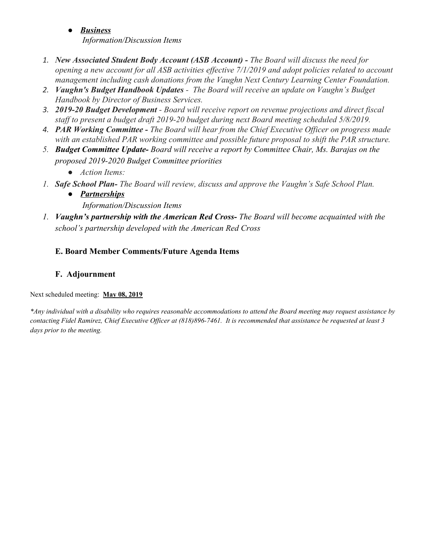- *● Business Information/Discussion Items*
- *1. New Associated Student Body Account (ASB Account) - The Board will discuss the need for opening a new account for all ASB activities effective 7/1/2019 and adopt policies related to account management including cash donations from the Vaughn Next Century Learning Center Foundation.*
- *2. Vaughn's Budget Handbook Updates The Board will receive an update on Vaughn's Budget Handbook by Director of Business Services.*
- *3. 2019-20 Budget Development Board will receive report on revenue projections and direct fiscal staff to present a budget draft 2019-20 budget during next Board meeting scheduled 5/8/2019.*
- *4. PAR Working Committee The Board will hear from the Chief Executive Officer on progress made with an established PAR working committee and possible future proposal to shift the PAR structure.*
- *5. Budget Committee Update- Board will receive a report by Committee Chair, Ms. Barajas on the proposed 2019-2020 Budget Committee priorities*
	- *● Action Items:*
- *1. Safe School Plan- The Board will review, discuss and approve the Vaughn's Safe School Plan.*
	- *● Partnerships*
		- *Information/Discussion Items*
- *1. Vaughn's partnership with the American Red Cross- The Board will become acquainted with the school's partnership developed with the American Red Cross*

# **E. Board Member Comments/Future Agenda Items**

# **F. Adjournment**

## Next scheduled meeting: **May 08, 2019**

\*Any individual with a disability who requires reasonable accommodations to attend the Board meeting may request assistance by contacting Fidel Ramirez, Chief Executive Officer at (818)896-7461. It is recommended that assistance be requested at least 3 *days prior to the meeting.*